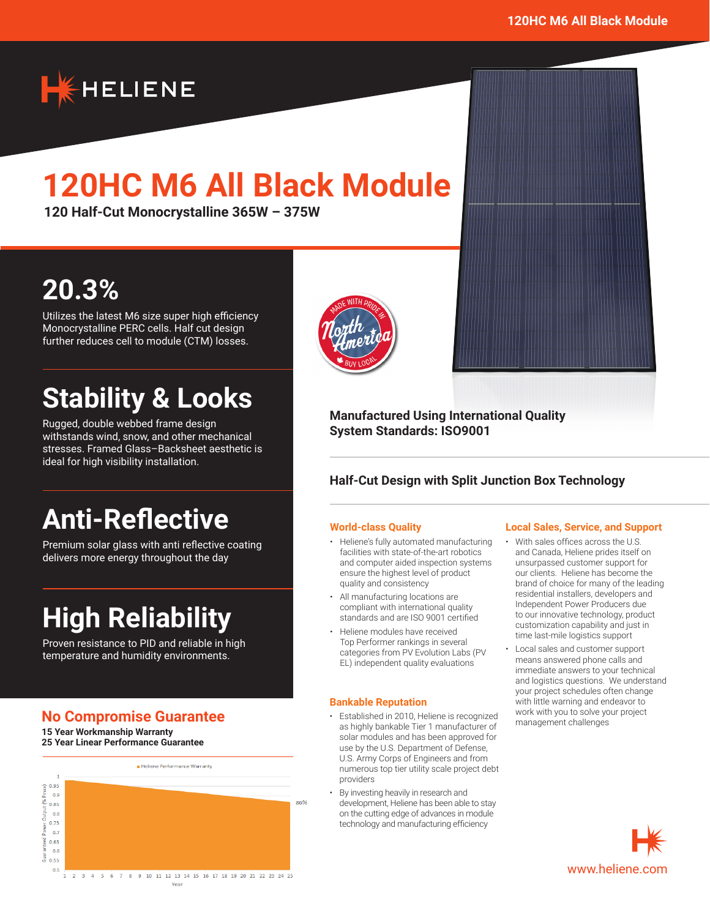

# **120HC M6 All Black Module**

**120 Half-Cut Monocrystalline 365W – 375W**

## **20.3%**

Utilizes the latest M6 size super high efficiency Monocrystalline PERC cells. Half cut design further reduces cell to module (CTM) losses.

## **Stability & Looks**

Rugged, double webbed frame design withstands wind, snow, and other mechanical stresses. Framed Glass–Backsheet aesthetic is ideal for high visibility installation.

## **Anti-Reflective**

Premium solar glass with anti reflective coating delivers more energy throughout the day

# **High Reliability**

Proven resistance to PID and reliable in high temperature and humidity environments.

## **No Compromise Guarantee**

**15 Year Workmanship Warranty 25 Year Linear Performance Guarantee**





### **Manufactured Using International Quality System Standards: ISO9001**

### **Half-Cut Design with Split Junction Box Technology**

#### **World-class Quality**

- Heliene's fully automated manufacturing facilities with state-of-the-art robotics and computer aided inspection systems ensure the highest level of product quality and consistency
- All manufacturing locations are compliant with international quality standards and are ISO 9001 certified
- Heliene modules have received Top Performer rankings in several categories from PV Evolution Labs (PV EL) independent quality evaluations

#### **Bankable Reputation**

- Established in 2010, Heliene is recognized as highly bankable Tier 1 manufacturer of solar modules and has been approved for use by the U.S. Department of Defense, U.S. Army Corps of Engineers and from numerous top tier utility scale project debt providers
- By investing heavily in research and development, Heliene has been able to stay on the cutting edge of advances in module technology and manufacturing efficiency

#### **Local Sales, Service, and Support**

- With sales offices across the U.S. and Canada, Heliene prides itself on unsurpassed customer support for our clients. Heliene has become the brand of choice for many of the leading residential installers, developers and Independent Power Producers due to our innovative technology, product customization capability and just in time last-mile logistics support
- Local sales and customer support means answered phone calls and immediate answers to your technical and logistics questions. We understand your project schedules often change with little warning and endeavor to work with you to solve your project management challenges